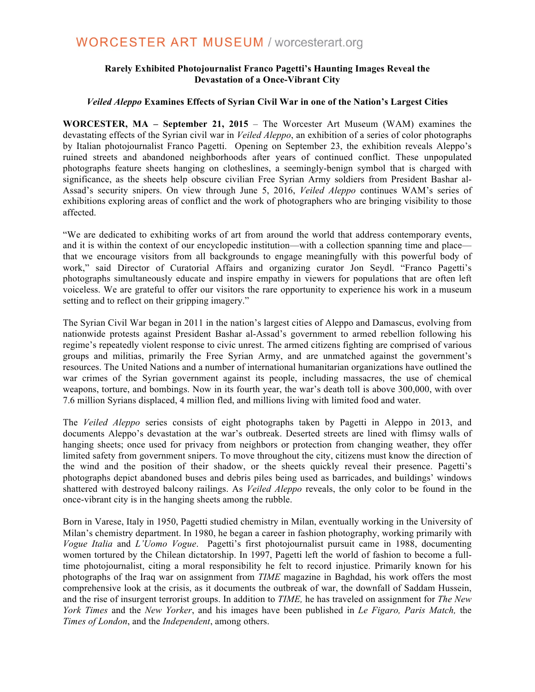## **WORCESTER ART MUSEUM / worcesterart.org**

### **Rarely Exhibited Photojournalist Franco Pagetti's Haunting Images Reveal the Devastation of a Once-Vibrant City**

#### *Veiled Aleppo* **Examines Effects of Syrian Civil War in one of the Nation's Largest Cities**

**WORCESTER, MA – September 21, 2015** – The Worcester Art Museum (WAM) examines the devastating effects of the Syrian civil war in *Veiled Aleppo*, an exhibition of a series of color photographs by Italian photojournalist Franco Pagetti. Opening on September 23, the exhibition reveals Aleppo's ruined streets and abandoned neighborhoods after years of continued conflict. These unpopulated photographs feature sheets hanging on clotheslines, a seemingly-benign symbol that is charged with significance, as the sheets help obscure civilian Free Syrian Army soldiers from President Bashar al-Assad's security snipers. On view through June 5, 2016, *Veiled Aleppo* continues WAM's series of exhibitions exploring areas of conflict and the work of photographers who are bringing visibility to those affected.

"We are dedicated to exhibiting works of art from around the world that address contemporary events, and it is within the context of our encyclopedic institution—with a collection spanning time and place that we encourage visitors from all backgrounds to engage meaningfully with this powerful body of work," said Director of Curatorial Affairs and organizing curator Jon Seydl. "Franco Pagetti's photographs simultaneously educate and inspire empathy in viewers for populations that are often left voiceless. We are grateful to offer our visitors the rare opportunity to experience his work in a museum setting and to reflect on their gripping imagery."

The Syrian Civil War began in 2011 in the nation's largest cities of Aleppo and Damascus, evolving from nationwide protests against President Bashar al-Assad's government to armed rebellion following his regime's repeatedly violent response to civic unrest. The armed citizens fighting are comprised of various groups and militias, primarily the Free Syrian Army, and are unmatched against the government's resources. The United Nations and a number of international humanitarian organizations have outlined the war crimes of the Syrian government against its people, including massacres, the use of chemical weapons, torture, and bombings. Now in its fourth year, the war's death toll is above 300,000, with over 7.6 million Syrians displaced, 4 million fled, and millions living with limited food and water.

The *Veiled Aleppo* series consists of eight photographs taken by Pagetti in Aleppo in 2013, and documents Aleppo's devastation at the war's outbreak. Deserted streets are lined with flimsy walls of hanging sheets; once used for privacy from neighbors or protection from changing weather, they offer limited safety from government snipers. To move throughout the city, citizens must know the direction of the wind and the position of their shadow, or the sheets quickly reveal their presence. Pagetti's photographs depict abandoned buses and debris piles being used as barricades, and buildings' windows shattered with destroyed balcony railings. As *Veiled Aleppo* reveals, the only color to be found in the once-vibrant city is in the hanging sheets among the rubble.

Born in Varese, Italy in 1950, Pagetti studied chemistry in Milan, eventually working in the University of Milan's chemistry department. In 1980, he began a career in fashion photography, working primarily with *Vogue Italia* and *L'Uomo Vogue*. Pagetti's first photojournalist pursuit came in 1988, documenting women tortured by the Chilean dictatorship. In 1997, Pagetti left the world of fashion to become a fulltime photojournalist, citing a moral responsibility he felt to record injustice. Primarily known for his photographs of the Iraq war on assignment from *TIME* magazine in Baghdad, his work offers the most comprehensive look at the crisis, as it documents the outbreak of war, the downfall of Saddam Hussein, and the rise of insurgent terrorist groups. In addition to *TIME,* he has traveled on assignment for *The New York Times* and the *New Yorker*, and his images have been published in *Le Figaro, Paris Match,* the *Times of London*, and the *Independent*, among others.